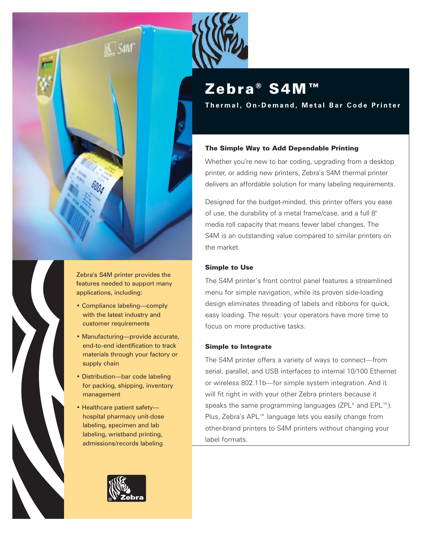

Zebra's S4M printer provides the features needed to support many applications, including:

- Compliance labeling—comply with the latest industry and customer requirements
- Manufacturing—provide accurate, end-to-end identification to track materials through your factory or supply chain
- Distribution—bar code labeling for packing, shipping, inventory management
- Healthcare patient safety hospital pharmacy unit-dose labeling, specimen and lab labeling, wristband printing, admissions/records labeling



# Zebra® S4M™

**Thermal, On-Demand, Metal Bar Code Printer**

# The Simple Way to Add Dependable Printing

Whether you're new to bar coding, upgrading from a desktop printer, or adding new printers, Zebra's S4M thermal printer delivers an affordable solution for many labeling requirements.

Designed for the budget-minded, this printer offers you ease of use, the durability of a metal frame/case, and a full 8" media roll capacity that means fewer label changes. The S4M is an outstanding value compared to similar printers on the market.

# Simple to Use

The S4M printer's front control panel features a streamlined menu for simple navigation, while its proven side-loading design eliminates threading of labels and ribbons for quick, easy loading. The result: your operators have more time to focus on more productive tasks.

# Simple to Integrate

The S4M printer offers a variety of ways to connect—from serial, parallel, and USB interfaces to internal 10/100 Ethernet or wireless 802.11b—for simple system integration. And it will fit right in with your other Zebra printers because it speaks the same programming languages (ZPL® and EPL™). Plus, Zebra's APL™ language lets you easily change from other-brand printers to S4M printers without changing your label formats.